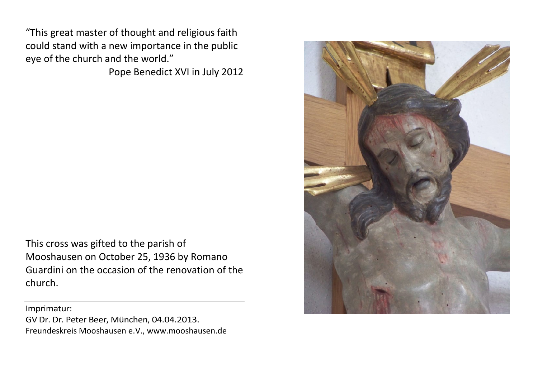"This great master of thought and religious faith could stand with a new importance in the public eye of the church and the world."

Pope Benedict XVI in July 2012

This cross was gifted to the parish of Mooshausen on October 25, 1936 by Romano Guardini on the occasion of the renovation of the church.

Imprimatur:

GV Dr. Dr. Peter Beer, München, 04.04.2013. Freundeskreis Mooshausen e.V., www.mooshausen.de